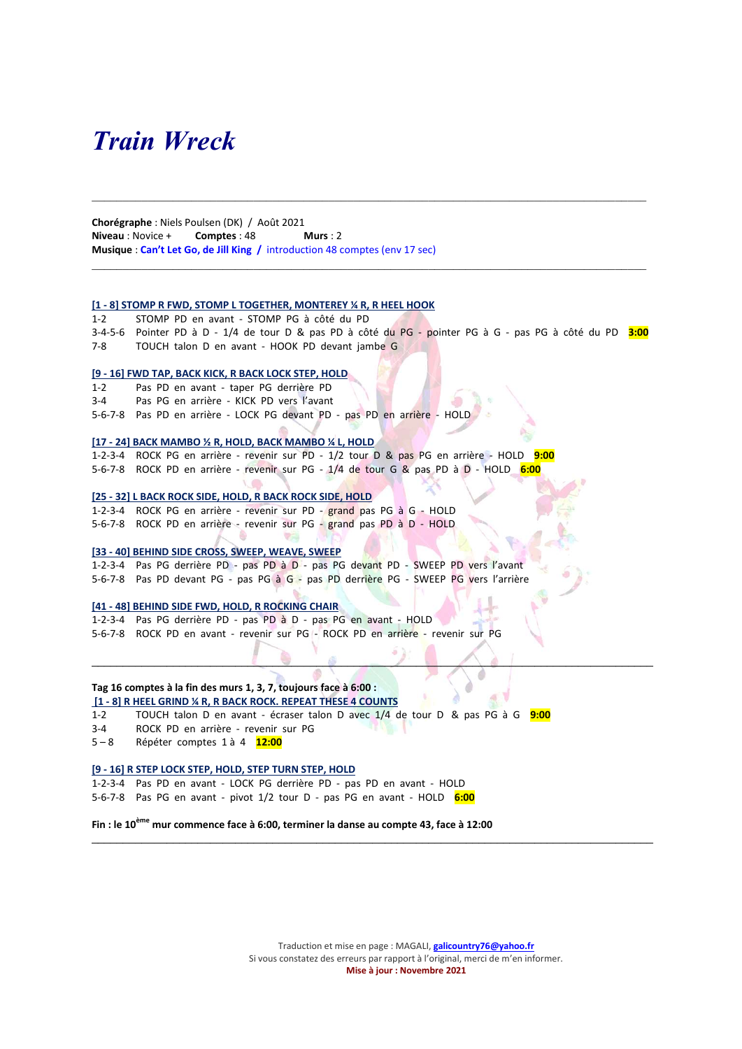## Train Wreck

Chorégraphe : Niels Poulsen (DK) / Août 2021 Niveau : Novice + Comptes : 48 Murs : 2 Musique : Can't Let Go, de Jill King / introduction 48 comptes (env 17 sec)

#### [1 - 8] STOMP R FWD, STOMP L TOGETHER, MONTEREY ¼ R, R HEEL HOOK

1-2 STOMP PD en avant - STOMP PG à côté du PD 3-4-5-6 Pointer PD à D - 1/4 de tour D & pas PD à côté du PG - pointer PG à G - pas PG à côté du PD 3:00 7-8 TOUCH talon D en avant - HOOK PD devant jambe G

#### [9 - 16] FWD TAP, BACK KICK, R BACK LOCK STEP, HOLD

1-2 Pas PD en avant - taper PG derrière PD 3-4 Pas PG en arrière - KICK PD vers l'avant 5-6-7-8 Pas PD en arrière - LOCK PG devant PD - pas PD en arrière - HOLD

#### [17 - 24] BACK MAMBO ½ R, HOLD, BACK MAMBO ¼ L, HOLD

1-2-3-4 ROCK PG en arrière - revenir sur PD - 1/2 tour D & pas PG en arrière - HOLD 9:00 5-6-7-8 ROCK PD en arrière - revenir sur PG - 1/4 de tour G & pas PD à D - HOLD 6:00

#### [25 - 32] L BACK ROCK SIDE, HOLD, R BACK ROCK SIDE, HOLD

1-2-3-4 ROCK PG en arrière - revenir sur PD - grand pas PG à G - HOLD 5-6-7-8 ROCK PD en arrière - revenir sur PG - grand pas PD à D - HOLD

#### [33 - 40] BEHIND SIDE CROSS, SWEEP, WEAVE, SWEEP

1-2-3-4 Pas PG derrière PD - pas PD à D - pas PG devant PD - SWEEP PD vers l'avant 5-6-7-8 Pas PD devant PG - pas PG à G - pas PD derrière PG - SWEEP PG vers l'arrière

#### [41 - 48] BEHIND SIDE FWD, HOLD, R ROCKING CHAIR

1-2-3-4 Pas PG derrière PD - pas PD à D - pas PG en avant - HOLD 5-6-7-8 ROCK PD en avant - revenir sur PG - ROCK PD en arrière - revenir sur PG

#### Tag 16 comptes à la fin des murs 1, 3, 7, toujours face à 6:00 :

#### [1 - 8] R HEEL GRIND ¼ R, R BACK ROCK. REPEAT THESE 4 COUNTS

1-2 TOUCH talon D en avant - écraser talon D avec 1/4 de tour D & pas PG à G 9:00

 $\blacksquare$ 

 $\mathcal{L}_\mathcal{L} = \{ \mathcal{L}_\mathcal{L} = \{ \mathcal{L}_\mathcal{L} = \{ \mathcal{L}_\mathcal{L} = \{ \mathcal{L}_\mathcal{L} = \{ \mathcal{L}_\mathcal{L} = \{ \mathcal{L}_\mathcal{L} = \{ \mathcal{L}_\mathcal{L} = \{ \mathcal{L}_\mathcal{L} = \{ \mathcal{L}_\mathcal{L} = \{ \mathcal{L}_\mathcal{L} = \{ \mathcal{L}_\mathcal{L} = \{ \mathcal{L}_\mathcal{L} = \{ \mathcal{L}_\mathcal{L} = \{ \mathcal{L}_\mathcal{$ 

- 3-4 ROCK PD en arrière revenir sur PG
- 5-8 Répéter comptes 1 à 4 12:00

#### [9 - 16] R STEP LOCK STEP, HOLD, STEP TURN STEP, HOLD

1-2-3-4 Pas PD en avant - LOCK PG derrière PD - pas PD en avant - HOLD 5-6-7-8 Pas PG en avant - pivot 1/2 tour D - pas PG en avant - HOLD 6:00

Fin : le 10<sup>ème</sup> mur commence face à 6:00, terminer la danse au compte 43, face à 12:00

Traduction et mise en page : MAGALI, **galicountry76@yahoo.fr** Si vous constatez des erreurs par rapport à l'original, merci de m'en informer. Mise à jour : Novembre 2021